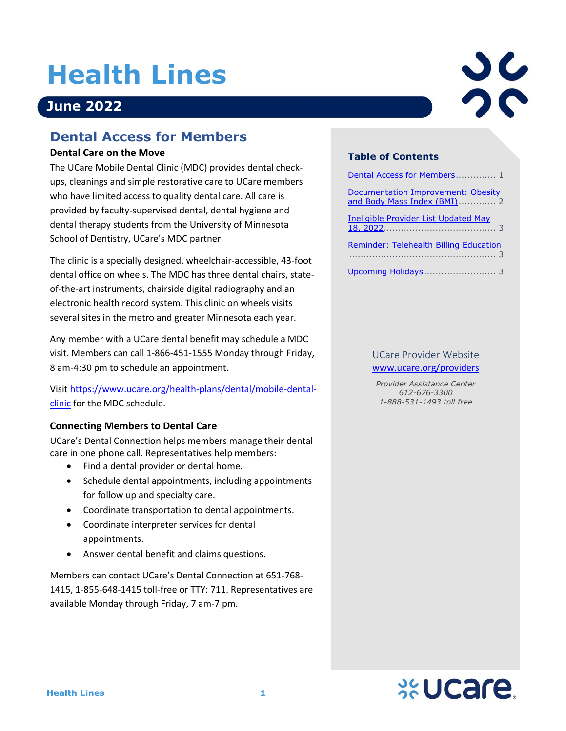# **Health Lines**

# **June 2022**

## <span id="page-0-0"></span>**Dental Access for Members**

#### **Dental Care on the Move**

The UCare Mobile Dental Clinic (MDC) provides dental checkups, cleanings and simple restorative care to UCare members who have limited access to quality dental care. All care is provided by faculty-supervised dental, dental hygiene and dental therapy students from the University of Minnesota School of Dentistry, UCare's MDC partner.

The clinic is a specially designed, wheelchair-accessible, 43-foot dental office on wheels. The MDC has three dental chairs, stateof-the-art instruments, chairside digital radiography and an electronic health record system. This clinic on wheels visits several sites in the metro and greater Minnesota each year.

Any member with a UCare dental benefit may schedule a MDC visit. Members can call 1-866-451-1555 Monday through Friday, 8 am-4:30 pm to schedule an appointment.

Visit [https://www.ucare.org/health-plans/dental/mobile-dental](https://www.ucare.org/health-plans/dental/mobile-dental-clinic)[clinic](https://www.ucare.org/health-plans/dental/mobile-dental-clinic) for the MDC schedule.

#### **Connecting Members to Dental Care**

UCare's Dental Connection helps members manage their dental care in one phone call. Representatives help members:

- Find a dental provider or dental home.
- Schedule dental appointments, including appointments for follow up and specialty care.
- Coordinate transportation to dental appointments.
- Coordinate interpreter services for dental appointments.
- Answer dental benefit and claims questions.

Members can contact UCare's Dental Connection at 651-768- 1415, 1-855-648-1415 toll-free or TTY: 711. Representatives are available Monday through Friday, 7 am-7 pm.



#### **Table of Contents**

| Dental Access for Members 1                                       |
|-------------------------------------------------------------------|
| Documentation Improvement: Obesity<br>and Body Mass Index (BMI) 2 |
| Ineligible Provider List Updated May                              |
| Reminder: Telehealth Billing Education                            |
|                                                                   |

#### UCare Provider Website [www.ucare.org/providers](http://www.ucare.org/providers)

*Provider Assistance Center 612-676-3300 1-888-531-1493 toll free*

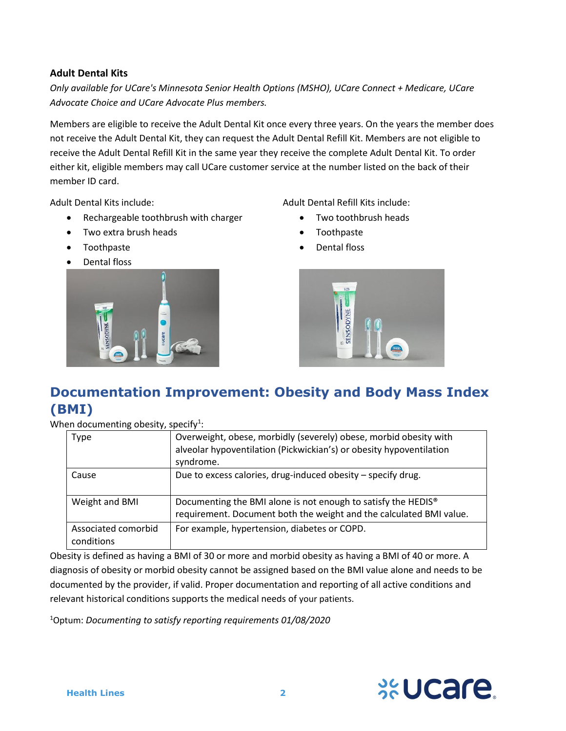#### **Adult Dental Kits**

*Only available for UCare's Minnesota Senior Health Options (MSHO), UCare Connect + Medicare, UCare Advocate Choice and UCare Advocate Plus members.*

Members are eligible to receive the Adult Dental Kit once every three years. On the years the member does not receive the Adult Dental Kit, they can request the Adult Dental Refill Kit. Members are not eligible to receive the Adult Dental Refill Kit in the same year they receive the complete Adult Dental Kit. To order either kit, eligible members may call UCare customer service at the number listed on the back of their member ID card.

Adult Dental Kits include:

- Rechargeable toothbrush with charger
- Two extra brush heads
- Toothpaste
- Dental floss



Adult Dental Refill Kits include:

- Two toothbrush heads
- Toothpaste
- <span id="page-1-0"></span>• Dental floss



## **Documentation Improvement: Obesity and Body Mass Index (BMI)**

When documenting obesity, specify<sup>1</sup>:

| Type                              | Overweight, obese, morbidly (severely) obese, morbid obesity with<br>alveolar hypoventilation (Pickwickian's) or obesity hypoventilation<br>syndrome. |
|-----------------------------------|-------------------------------------------------------------------------------------------------------------------------------------------------------|
| Cause                             | Due to excess calories, drug-induced obesity - specify drug.                                                                                          |
| Weight and BMI                    | Documenting the BMI alone is not enough to satisfy the HEDIS <sup>®</sup><br>requirement. Document both the weight and the calculated BMI value.      |
| Associated comorbid<br>conditions | For example, hypertension, diabetes or COPD.                                                                                                          |

Obesity is defined as having a BMI of 30 or more and morbid obesity as having a BMI of 40 or more. A diagnosis of obesity or morbid obesity cannot be assigned based on the BMI value alone and needs to be documented by the provider, if valid. Proper documentation and reporting of all active conditions and relevant historical conditions supports the medical needs of your patients.

<sup>1</sup>Optum: *Documenting to satisfy reporting requirements 01/08/2020*